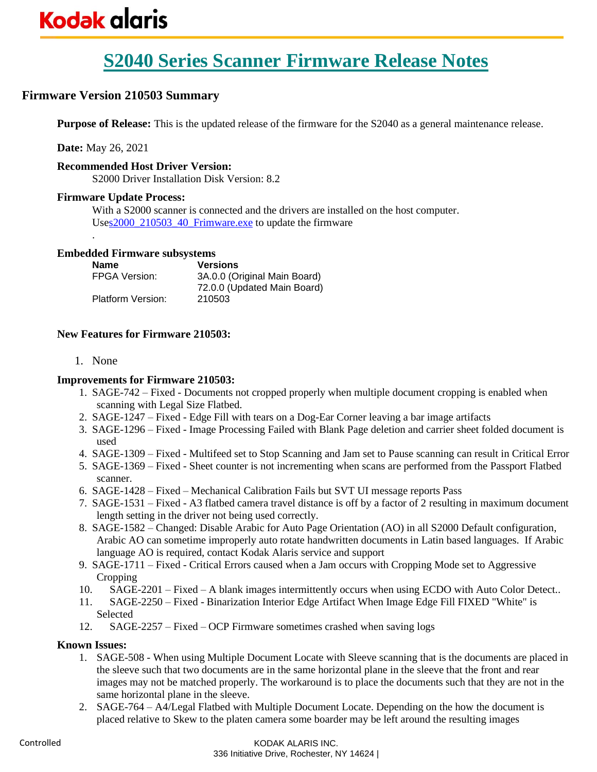### **Firmware Version 210503 Summary**

**Purpose of Release:** This is the updated release of the firmware for the S2040 as a general maintenance release.

**Date:** May 26, 2021

.

#### **Recommended Host Driver Version:**

S2000 Driver Installation Disk Version: 8.2

#### **Firmware Update Process:**

With a S2000 scanner is connected and the drivers are installed on the host computer. Us[es2000\\_210503\\_40\\_Frimware.exe](https://www.alarisworld.com/go/s2000support) to update the firmware

#### **Embedded Firmware subsystems**

| <b>Name</b>          | <b>Versions</b>              |
|----------------------|------------------------------|
| <b>FPGA Version:</b> | 3A.0.0 (Original Main Board) |
|                      | 72.0.0 (Updated Main Board)  |
| Platform Version:    | 210503                       |

#### **New Features for Firmware 210503:**

1. None

#### **Improvements for Firmware 210503:**

- 1. SAGE-742 Fixed Documents not cropped properly when multiple document cropping is enabled when scanning with Legal Size Flatbed.
- 2. SAGE-1247 Fixed Edge Fill with tears on a Dog-Ear Corner leaving a bar image artifacts
- 3. SAGE-1296 Fixed Image Processing Failed with Blank Page deletion and carrier sheet folded document is used
- 4. SAGE-1309 Fixed Multifeed set to Stop Scanning and Jam set to Pause scanning can result in Critical Error
- 5. SAGE-1369 Fixed Sheet counter is not incrementing when scans are performed from the Passport Flatbed scanner.
- 6. SAGE-1428 Fixed Mechanical Calibration Fails but SVT UI message reports Pass
- 7. SAGE-1531 Fixed A3 flatbed camera travel distance is off by a factor of 2 resulting in maximum document length setting in the driver not being used correctly.
- 8. SAGE-1582 Changed: Disable Arabic for Auto Page Orientation (AO) in all S2000 Default configuration, Arabic AO can sometime improperly auto rotate handwritten documents in Latin based languages. If Arabic language AO is required, contact Kodak Alaris service and support
- 9. SAGE-1711 Fixed Critical Errors caused when a Jam occurs with Cropping Mode set to Aggressive **Cropping**
- 10. SAGE-2201 Fixed A blank images intermittently occurs when using ECDO with Auto Color Detect..
- 11. SAGE-2250 Fixed Binarization Interior Edge Artifact When Image Edge Fill FIXED "White" is Selected
- 12. SAGE-2257 Fixed OCP Firmware sometimes crashed when saving logs

#### **Known Issues:**

- 1. SAGE-508 When using Multiple Document Locate with Sleeve scanning that is the documents are placed in the sleeve such that two documents are in the same horizontal plane in the sleeve that the front and rear images may not be matched properly. The workaround is to place the documents such that they are not in the same horizontal plane in the sleeve.
- 2. SAGE-764 A4/Legal Flatbed with Multiple Document Locate. Depending on the how the document is placed relative to Skew to the platen camera some boarder may be left around the resulting images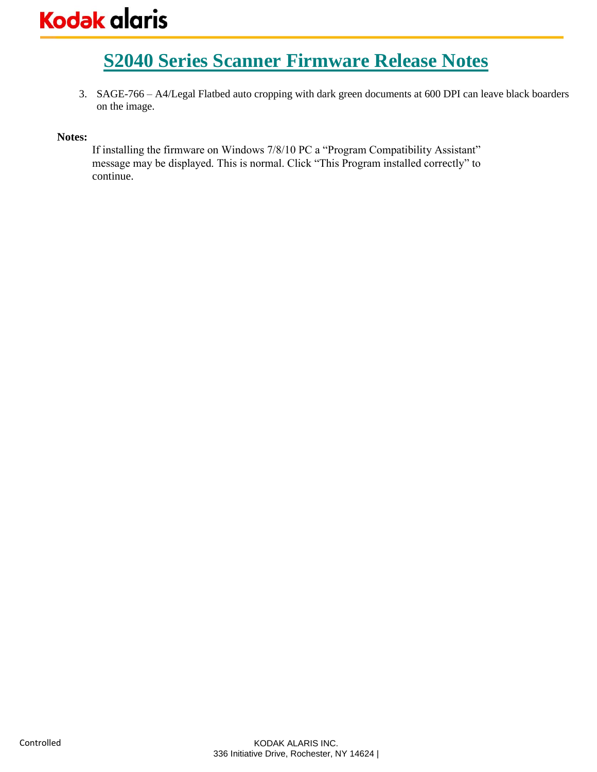3. SAGE-766 – A4/Legal Flatbed auto cropping with dark green documents at 600 DPI can leave black boarders on the image.

#### **Notes:**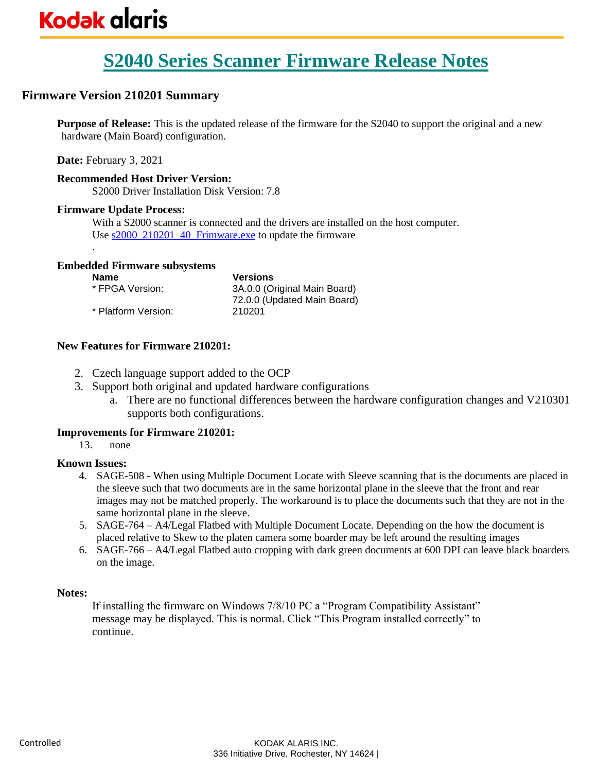### **Firmware Version 210201 Summary**

**Purpose of Release:** This is the updated release of the firmware for the S2040 to support the original and a new hardware (Main Board) configuration.

**Date:** February 3, 2021

#### **Recommended Host Driver Version:**

S2000 Driver Installation Disk Version: 7.8

#### **Firmware Update Process:**

.

With a S2000 scanner is connected and the drivers are installed on the host computer. Use  $s2000_210201_40$  Frimware.exe to update the firmware

#### **Embedded Firmware subsystems**

| <b>Name</b>         | <b>Versions</b>              |
|---------------------|------------------------------|
| * FPGA Version:     | 3A.0.0 (Original Main Board) |
|                     | 72.0.0 (Updated Main Board)  |
| * Platform Version: | 210201                       |

#### **New Features for Firmware 210201:**

- 2. Czech language support added to the OCP
- 3. Support both original and updated hardware configurations
	- a. There are no functional differences between the hardware configuration changes and V210301 supports both configurations.

#### **Improvements for Firmware 210201:**

13. none

#### **Known Issues:**

- 4. SAGE-508 When using Multiple Document Locate with Sleeve scanning that is the documents are placed in the sleeve such that two documents are in the same horizontal plane in the sleeve that the front and rear images may not be matched properly. The workaround is to place the documents such that they are not in the same horizontal plane in the sleeve.
- 5. SAGE-764 A4/Legal Flatbed with Multiple Document Locate. Depending on the how the document is placed relative to Skew to the platen camera some boarder may be left around the resulting images
- 6. SAGE-766 A4/Legal Flatbed auto cropping with dark green documents at 600 DPI can leave black boarders on the image.

#### **Notes:**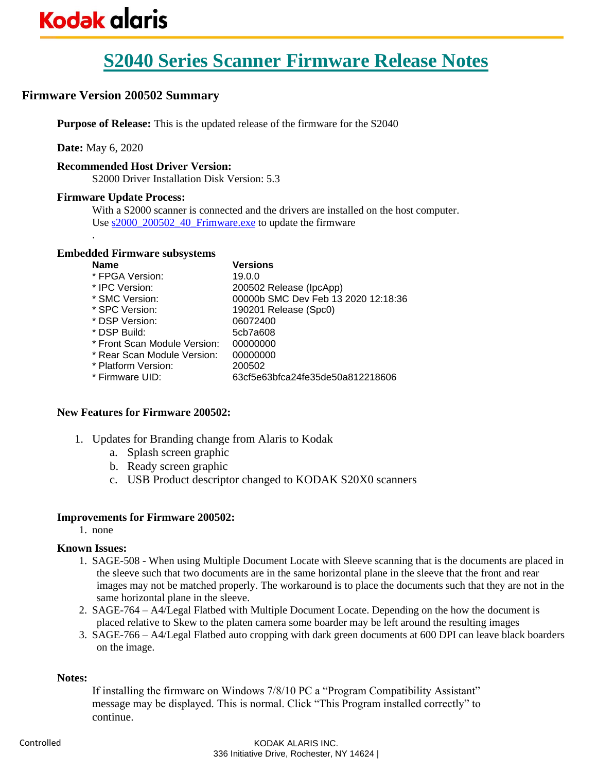### **Firmware Version 200502 Summary**

**Purpose of Release:** This is the updated release of the firmware for the S2040

**Date:** May 6, 2020

.

#### **Recommended Host Driver Version:**

S2000 Driver Installation Disk Version: 5.3

#### **Firmware Update Process:**

With a S2000 scanner is connected and the drivers are installed on the host computer. Use s2000 200502 40 Frimware.exe to update the firmware

#### **Embedded Firmware subsystems**

| Versions                            |
|-------------------------------------|
| 19.0.0                              |
| 200502 Release (IpcApp)             |
| 00000b SMC Dev Feb 13 2020 12:18:36 |
| 190201 Release (Spc0)               |
| 06072400                            |
| 5cb7a608                            |
| 00000000                            |
| 00000000                            |
| 200502                              |
| 63cf5e63bfca24fe35de50a812218606    |
|                                     |

#### **New Features for Firmware 200502:**

- 1. Updates for Branding change from Alaris to Kodak
	- a. Splash screen graphic
	- b. Ready screen graphic
	- c. USB Product descriptor changed to KODAK S20X0 scanners

#### **Improvements for Firmware 200502:**

1. none

#### **Known Issues:**

- 1. SAGE-508 When using Multiple Document Locate with Sleeve scanning that is the documents are placed in the sleeve such that two documents are in the same horizontal plane in the sleeve that the front and rear images may not be matched properly. The workaround is to place the documents such that they are not in the same horizontal plane in the sleeve.
- 2. SAGE-764 A4/Legal Flatbed with Multiple Document Locate. Depending on the how the document is placed relative to Skew to the platen camera some boarder may be left around the resulting images
- 3. SAGE-766 A4/Legal Flatbed auto cropping with dark green documents at 600 DPI can leave black boarders on the image.

#### **Notes:**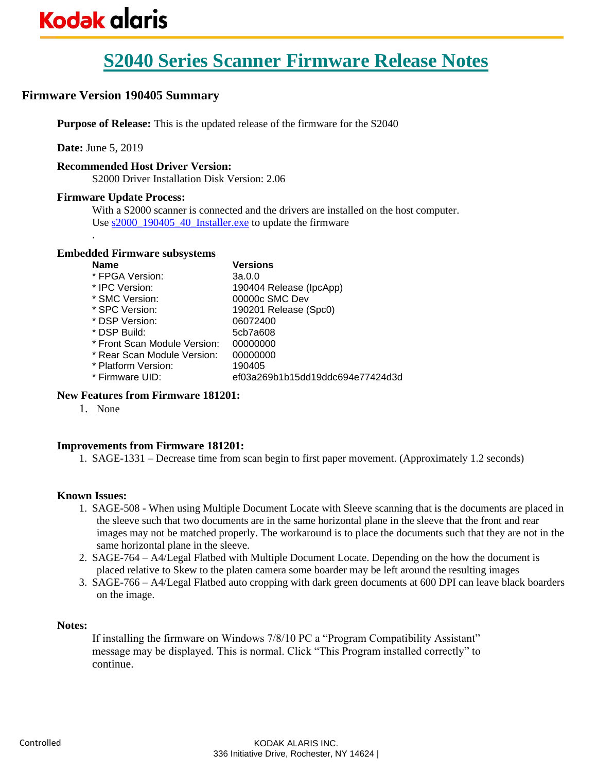### **Firmware Version 190405 Summary**

**Purpose of Release:** This is the updated release of the firmware for the S2040

**Date:** June 5, 2019

.

#### **Recommended Host Driver Version:**

S2000 Driver Installation Disk Version: 2.06

#### **Firmware Update Process:**

With a S2000 scanner is connected and the drivers are installed on the host computer. Use s2000 190405 40 Installer.exe to update the firmware

#### **Embedded Firmware subsystems**

| <b>Name</b>                  | Versions                         |
|------------------------------|----------------------------------|
| * FPGA Version:              | 3a.0.0                           |
| * IPC Version:               | 190404 Release (IpcApp)          |
| * SMC Version:               | 00000c SMC Dev                   |
| * SPC Version:               | 190201 Release (Spc0)            |
| * DSP Version:               | 06072400                         |
| * DSP Build:                 | 5cb7a608                         |
| * Front Scan Module Version: | 00000000                         |
| * Rear Scan Module Version:  | 00000000                         |
| * Platform Version:          | 190405                           |
| * Firmware UID:              | ef03a269b1b15dd19ddc694e77424d3d |
|                              |                                  |

#### **New Features from Firmware 181201:**

1. None

#### **Improvements from Firmware 181201:**

1. SAGE-1331 – Decrease time from scan begin to first paper movement. (Approximately 1.2 seconds)

#### **Known Issues:**

- 1. SAGE-508 When using Multiple Document Locate with Sleeve scanning that is the documents are placed in the sleeve such that two documents are in the same horizontal plane in the sleeve that the front and rear images may not be matched properly. The workaround is to place the documents such that they are not in the same horizontal plane in the sleeve.
- 2. SAGE-764 A4/Legal Flatbed with Multiple Document Locate. Depending on the how the document is placed relative to Skew to the platen camera some boarder may be left around the resulting images
- 3. SAGE-766 A4/Legal Flatbed auto cropping with dark green documents at 600 DPI can leave black boarders on the image.

#### **Notes:**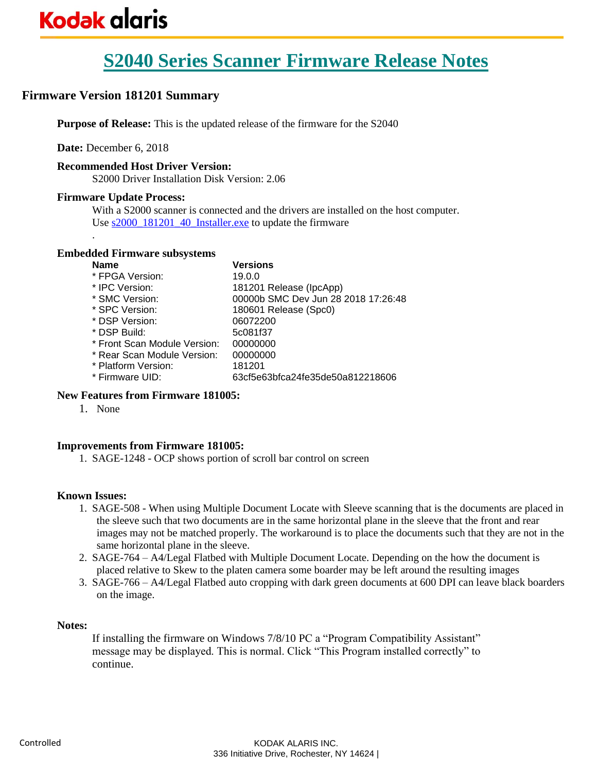# **Kodak glaris**

# **S2040 Series Scanner Firmware Release Notes**

### **Firmware Version 181201 Summary**

**Purpose of Release:** This is the updated release of the firmware for the S2040

**Date:** December 6, 2018

#### **Recommended Host Driver Version:**

S2000 Driver Installation Disk Version: 2.06

#### **Firmware Update Process:**

.

With a S2000 scanner is connected and the drivers are installed on the host computer. Use s2000 181201 40 Installer.exe to update the firmware

#### **Embedded Firmware subsystems**

| <b>Name</b>                  | <b>Versions</b>                     |
|------------------------------|-------------------------------------|
| * FPGA Version:              | 19.0.0                              |
| * IPC Version:               | 181201 Release (IpcApp)             |
| * SMC Version:               | 00000b SMC Dev Jun 28 2018 17:26:48 |
| * SPC Version:               | 180601 Release (Spc0)               |
| * DSP Version:               | 06072200                            |
| * DSP Build:                 | 5c081f37                            |
| * Front Scan Module Version: | 00000000                            |
| * Rear Scan Module Version:  | 00000000                            |
| * Platform Version:          | 181201                              |
| * Firmware UID:              | 63cf5e63bfca24fe35de50a812218606    |
|                              |                                     |

#### **New Features from Firmware 181005:**

1. None

#### **Improvements from Firmware 181005:**

1. SAGE-1248 - OCP shows portion of scroll bar control on screen

#### **Known Issues:**

- 1. SAGE-508 When using Multiple Document Locate with Sleeve scanning that is the documents are placed in the sleeve such that two documents are in the same horizontal plane in the sleeve that the front and rear images may not be matched properly. The workaround is to place the documents such that they are not in the same horizontal plane in the sleeve.
- 2. SAGE-764 A4/Legal Flatbed with Multiple Document Locate. Depending on the how the document is placed relative to Skew to the platen camera some boarder may be left around the resulting images
- 3. SAGE-766 A4/Legal Flatbed auto cropping with dark green documents at 600 DPI can leave black boarders on the image.

#### **Notes:**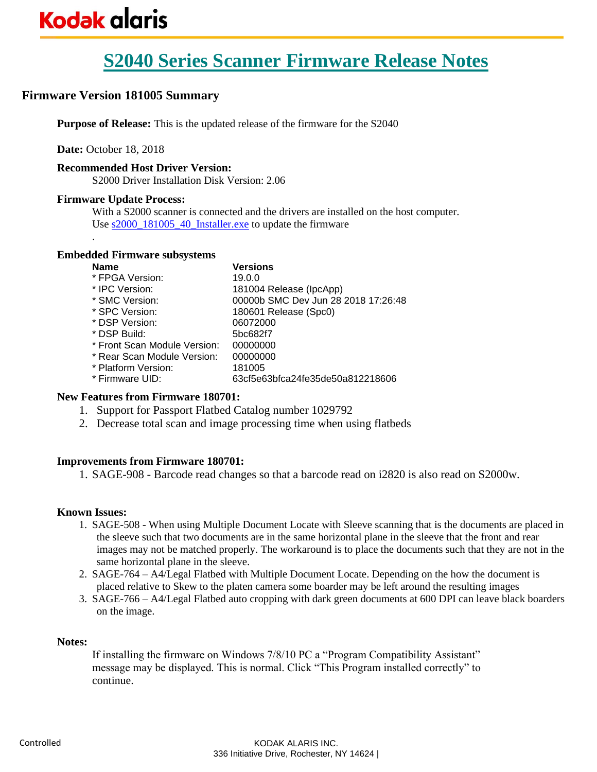### **Firmware Version 181005 Summary**

**Purpose of Release:** This is the updated release of the firmware for the S2040

**Date:** October 18, 2018

#### **Recommended Host Driver Version:**

S2000 Driver Installation Disk Version: 2.06

#### **Firmware Update Process:**

.

With a S2000 scanner is connected and the drivers are installed on the host computer. Use [s2000\\_181005\\_40\\_Installer.exe](https://www.alarisworld.com/go/s2000support) to update the firmware

#### **Embedded Firmware subsystems**

| <b>Name</b>                  | <b>Versions</b>                     |
|------------------------------|-------------------------------------|
| * FPGA Version:              | 19.0.0                              |
| * IPC Version:               | 181004 Release (IpcApp)             |
| * SMC Version:               | 00000b SMC Dev Jun 28 2018 17:26:48 |
| * SPC Version:               | 180601 Release (Spc0)               |
| * DSP Version:               | 06072000                            |
| * DSP Build:                 | 5bc682f7                            |
| * Front Scan Module Version: | 00000000                            |
| * Rear Scan Module Version:  | 00000000                            |
| * Platform Version:          | 181005                              |
| * Firmware UID:              | 63cf5e63bfca24fe35de50a812218606    |
|                              |                                     |

#### **New Features from Firmware 180701:**

- 1. Support for Passport Flatbed Catalog number 1029792
- 2. Decrease total scan and image processing time when using flatbeds

#### **Improvements from Firmware 180701:**

1. SAGE-908 - Barcode read changes so that a barcode read on i2820 is also read on S2000w.

#### **Known Issues:**

- 1. SAGE-508 When using Multiple Document Locate with Sleeve scanning that is the documents are placed in the sleeve such that two documents are in the same horizontal plane in the sleeve that the front and rear images may not be matched properly. The workaround is to place the documents such that they are not in the same horizontal plane in the sleeve.
- 2. SAGE-764 A4/Legal Flatbed with Multiple Document Locate. Depending on the how the document is placed relative to Skew to the platen camera some boarder may be left around the resulting images
- 3. SAGE-766 A4/Legal Flatbed auto cropping with dark green documents at 600 DPI can leave black boarders on the image.

#### **Notes:**